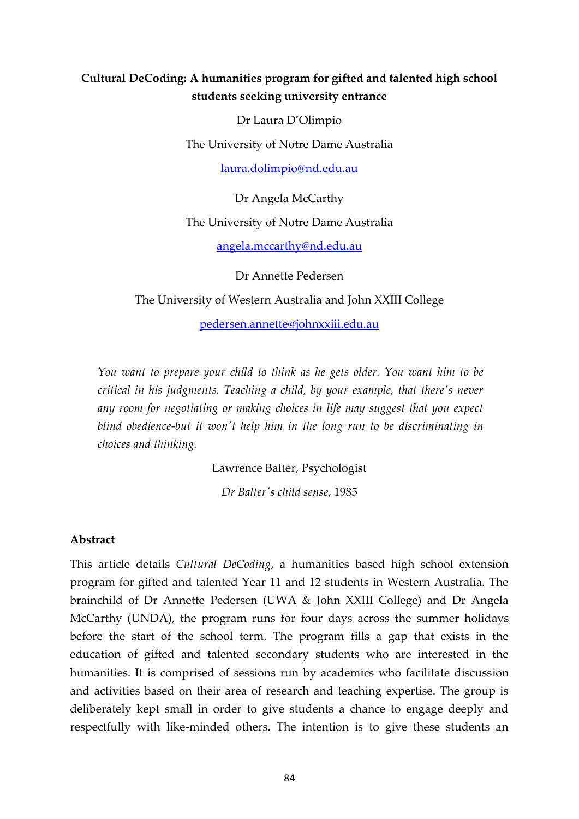## **Cultural DeCoding: A humanities program for gifted and talented high school students seeking university entrance**

Dr Laura D'Olimpio The University of Notre Dame Australia

laura.dolimpio@nd.edu.au

Dr Angela McCarthy The University of Notre Dame Australia

angela.mccarthy@nd.edu.au

Dr Annette Pedersen

The University of Western Australia and John XXIII College

pedersen.annette@johnxxiii.edu.au

*You want to prepare your child to think as he gets older. You want him to be critical in his judgments. Teaching a child, by your example, that there's never*  any room for negotiating or making choices in life may suggest that you expect blind obedience-but it won't help him in the long run to be discriminating in *choices and thinking.*

Lawrence Balter, Psychologist

*Dr Balter's child sense*, 1985

#### **Abstract**

This article details *Cultural DeCoding*, a humanities based high school extension program for gifted and talented Year 11 and 12 students in Western Australia. The brainchild of Dr Annette Pedersen (UWA & John XXIII College) and Dr Angela McCarthy (UNDA), the program runs for four days across the summer holidays before the start of the school term. The program fills a gap that exists in the education of gifted and talented secondary students who are interested in the humanities. It is comprised of sessions run by academics who facilitate discussion and activities based on their area of research and teaching expertise. The group is deliberately kept small in order to give students a chance to engage deeply and respectfully with like-minded others. The intention is to give these students an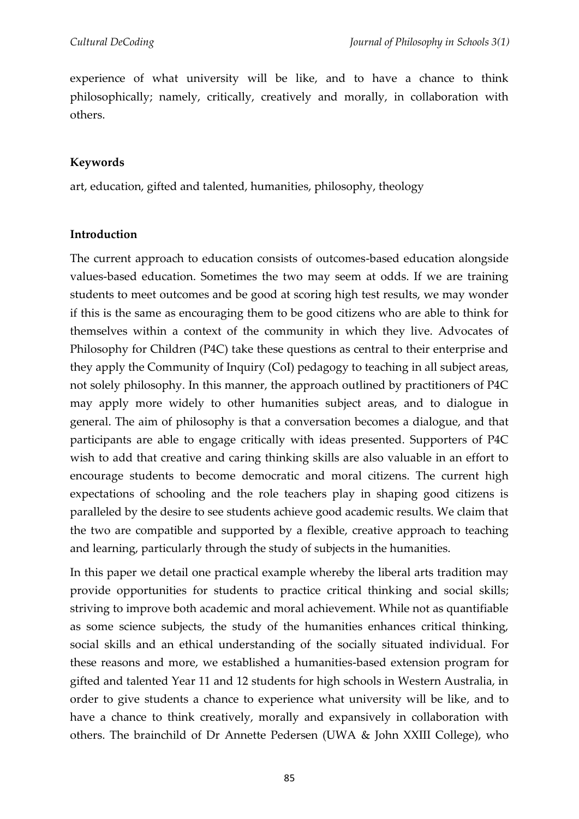experience of what university will be like, and to have a chance to think philosophically; namely, critically, creatively and morally, in collaboration with others.

## **Keywords**

art, education, gifted and talented, humanities, philosophy, theology

### **Introduction**

The current approach to education consists of outcomes-based education alongside values-based education. Sometimes the two may seem at odds. If we are training students to meet outcomes and be good at scoring high test results, we may wonder if this is the same as encouraging them to be good citizens who are able to think for themselves within a context of the community in which they live. Advocates of Philosophy for Children (P4C) take these questions as central to their enterprise and they apply the Community of Inquiry (CoI) pedagogy to teaching in all subject areas, not solely philosophy. In this manner, the approach outlined by practitioners of P4C may apply more widely to other humanities subject areas, and to dialogue in general. The aim of philosophy is that a conversation becomes a dialogue, and that participants are able to engage critically with ideas presented. Supporters of P4C wish to add that creative and caring thinking skills are also valuable in an effort to encourage students to become democratic and moral citizens. The current high expectations of schooling and the role teachers play in shaping good citizens is paralleled by the desire to see students achieve good academic results. We claim that the two are compatible and supported by a flexible, creative approach to teaching and learning, particularly through the study of subjects in the humanities.

In this paper we detail one practical example whereby the liberal arts tradition may provide opportunities for students to practice critical thinking and social skills; striving to improve both academic and moral achievement. While not as quantifiable as some science subjects, the study of the humanities enhances critical thinking, social skills and an ethical understanding of the socially situated individual. For these reasons and more, we established a humanities-based extension program for gifted and talented Year 11 and 12 students for high schools in Western Australia, in order to give students a chance to experience what university will be like, and to have a chance to think creatively, morally and expansively in collaboration with others. The brainchild of Dr Annette Pedersen (UWA & John XXIII College), who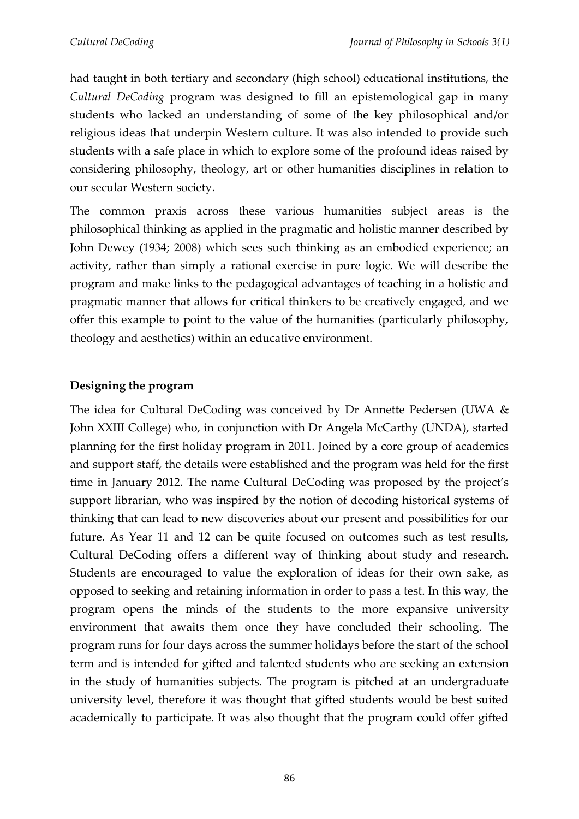had taught in both tertiary and secondary (high school) educational institutions, the *Cultural DeCoding* program was designed to fill an epistemological gap in many students who lacked an understanding of some of the key philosophical and/or religious ideas that underpin Western culture. It was also intended to provide such students with a safe place in which to explore some of the profound ideas raised by considering philosophy, theology, art or other humanities disciplines in relation to our secular Western society.

The common praxis across these various humanities subject areas is the philosophical thinking as applied in the pragmatic and holistic manner described by John Dewey (1934; 2008) which sees such thinking as an embodied experience; an activity, rather than simply a rational exercise in pure logic. We will describe the program and make links to the pedagogical advantages of teaching in a holistic and pragmatic manner that allows for critical thinkers to be creatively engaged, and we offer this example to point to the value of the humanities (particularly philosophy, theology and aesthetics) within an educative environment.

# **Designing the program**

The idea for Cultural DeCoding was conceived by Dr Annette Pedersen (UWA & John XXIII College) who, in conjunction with Dr Angela McCarthy (UNDA), started planning for the first holiday program in 2011. Joined by a core group of academics and support staff, the details were established and the program was held for the first time in January 2012. The name Cultural DeCoding was proposed by the project's support librarian, who was inspired by the notion of decoding historical systems of thinking that can lead to new discoveries about our present and possibilities for our future. As Year 11 and 12 can be quite focused on outcomes such as test results, Cultural DeCoding offers a different way of thinking about study and research. Students are encouraged to value the exploration of ideas for their own sake, as opposed to seeking and retaining information in order to pass a test. In this way, the program opens the minds of the students to the more expansive university environment that awaits them once they have concluded their schooling. The program runs for four days across the summer holidays before the start of the school term and is intended for gifted and talented students who are seeking an extension in the study of humanities subjects. The program is pitched at an undergraduate university level, therefore it was thought that gifted students would be best suited academically to participate. It was also thought that the program could offer gifted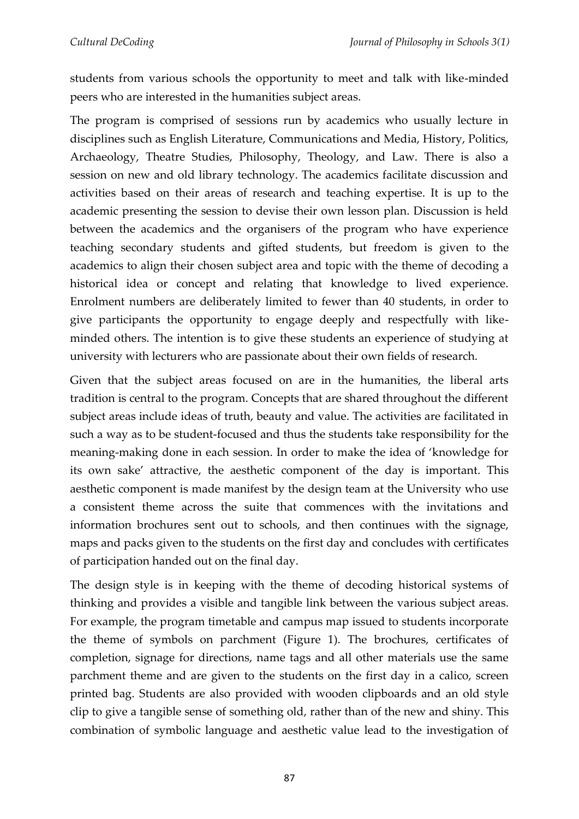students from various schools the opportunity to meet and talk with like-minded peers who are interested in the humanities subject areas.

The program is comprised of sessions run by academics who usually lecture in disciplines such as English Literature, Communications and Media, History, Politics, Archaeology, Theatre Studies, Philosophy, Theology, and Law. There is also a session on new and old library technology. The academics facilitate discussion and activities based on their areas of research and teaching expertise. It is up to the academic presenting the session to devise their own lesson plan. Discussion is held between the academics and the organisers of the program who have experience teaching secondary students and gifted students, but freedom is given to the academics to align their chosen subject area and topic with the theme of decoding a historical idea or concept and relating that knowledge to lived experience. Enrolment numbers are deliberately limited to fewer than 40 students, in order to give participants the opportunity to engage deeply and respectfully with likeminded others. The intention is to give these students an experience of studying at university with lecturers who are passionate about their own fields of research.

Given that the subject areas focused on are in the humanities, the liberal arts tradition is central to the program. Concepts that are shared throughout the different subject areas include ideas of truth, beauty and value. The activities are facilitated in such a way as to be student-focused and thus the students take responsibility for the meaning-making done in each session. In order to make the idea of 'knowledge for its own sake' attractive, the aesthetic component of the day is important. This aesthetic component is made manifest by the design team at the University who use a consistent theme across the suite that commences with the invitations and information brochures sent out to schools, and then continues with the signage, maps and packs given to the students on the first day and concludes with certificates of participation handed out on the final day.

The design style is in keeping with the theme of decoding historical systems of thinking and provides a visible and tangible link between the various subject areas. For example, the program timetable and campus map issued to students incorporate the theme of symbols on parchment (Figure 1). The brochures, certificates of completion, signage for directions, name tags and all other materials use the same parchment theme and are given to the students on the first day in a calico, screen printed bag. Students are also provided with wooden clipboards and an old style clip to give a tangible sense of something old, rather than of the new and shiny. This combination of symbolic language and aesthetic value lead to the investigation of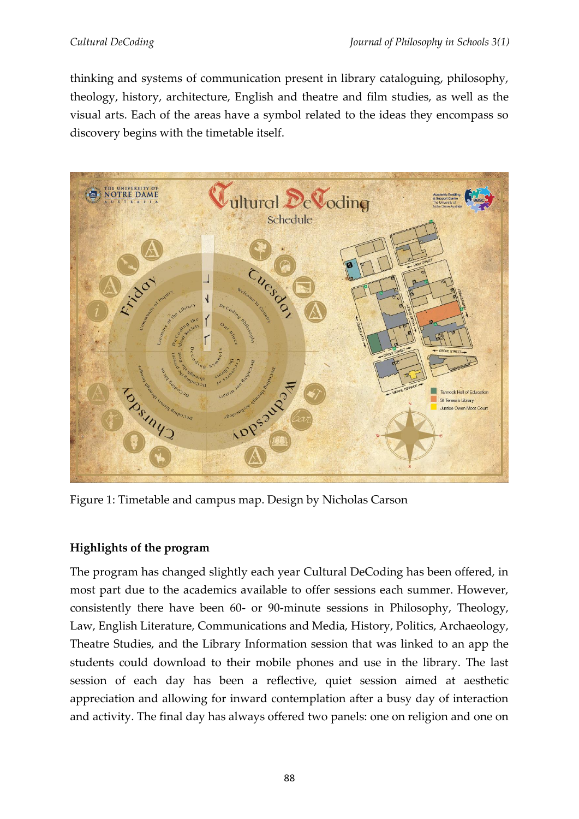thinking and systems of communication present in library cataloguing, philosophy, theology, history, architecture, English and theatre and film studies, as well as the visual arts. Each of the areas have a symbol related to the ideas they encompass so discovery begins with the timetable itself.



Figure 1: Timetable and campus map. Design by Nicholas Carson

# **Highlights of the program**

The program has changed slightly each year Cultural DeCoding has been offered, in most part due to the academics available to offer sessions each summer. However, consistently there have been 60- or 90-minute sessions in Philosophy, Theology, Law, English Literature, Communications and Media, History, Politics, Archaeology, Theatre Studies, and the Library Information session that was linked to an app the students could download to their mobile phones and use in the library. The last session of each day has been a reflective, quiet session aimed at aesthetic appreciation and allowing for inward contemplation after a busy day of interaction and activity. The final day has always offered two panels: one on religion and one on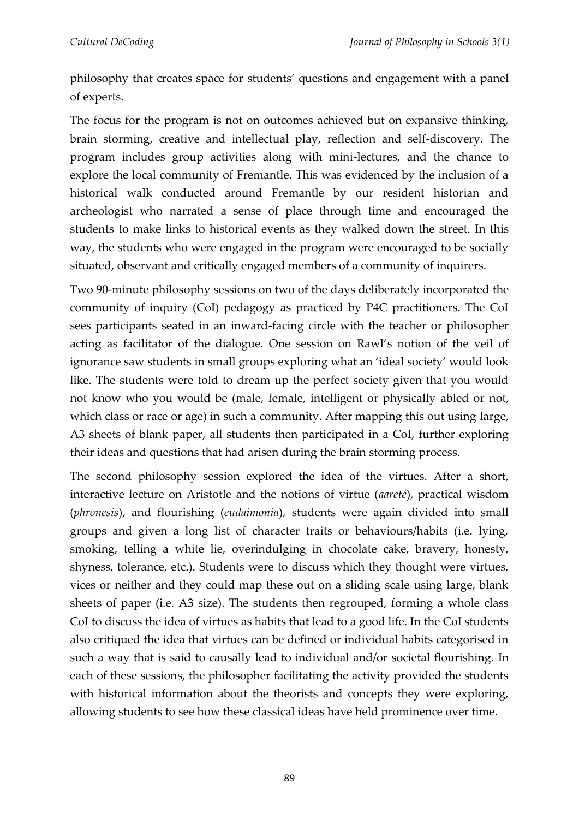philosophy that creates space for students' questions and engagement with a panel of experts.

The focus for the program is not on outcomes achieved but on expansive thinking, brain storming, creative and intellectual play, reflection and self-discovery. The program includes group activities along with mini-lectures, and the chance to explore the local community of Fremantle. This was evidenced by the inclusion of a historical walk conducted around Fremantle by our resident historian and archeologist who narrated a sense of place through time and encouraged the students to make links to historical events as they walked down the street. In this way, the students who were engaged in the program were encouraged to be socially situated, observant and critically engaged members of a community of inquirers.

Two 90-minute philosophy sessions on two of the days deliberately incorporated the community of inquiry (CoI) pedagogy as practiced by P4C practitioners. The CoI sees participants seated in an inward-facing circle with the teacher or philosopher acting as facilitator of the dialogue. One session on Rawl's notion of the veil of ignorance saw students in small groups exploring what an 'ideal society' would look like. The students were told to dream up the perfect society given that you would not know who you would be (male, female, intelligent or physically abled or not, which class or race or age) in such a community. After mapping this out using large, A3 sheets of blank paper, all students then participated in a CoI, further exploring their ideas and questions that had arisen during the brain storming process.

The second philosophy session explored the idea of the virtues. After a short, interactive lecture on Aristotle and the notions of virtue (*aareté*), practical wisdom (*phronesis*), and flourishing (*eudaimonia*), students were again divided into small groups and given a long list of character traits or behaviours/habits (i.e. lying, smoking, telling a white lie, overindulging in chocolate cake, bravery, honesty, shyness, tolerance, etc.). Students were to discuss which they thought were virtues, vices or neither and they could map these out on a sliding scale using large, blank sheets of paper (i.e. A3 size). The students then regrouped, forming a whole class CoI to discuss the idea of virtues as habits that lead to a good life. In the CoI students also critiqued the idea that virtues can be defined or individual habits categorised in such a way that is said to causally lead to individual and/or societal flourishing. In each of these sessions, the philosopher facilitating the activity provided the students with historical information about the theorists and concepts they were exploring, allowing students to see how these classical ideas have held prominence over time.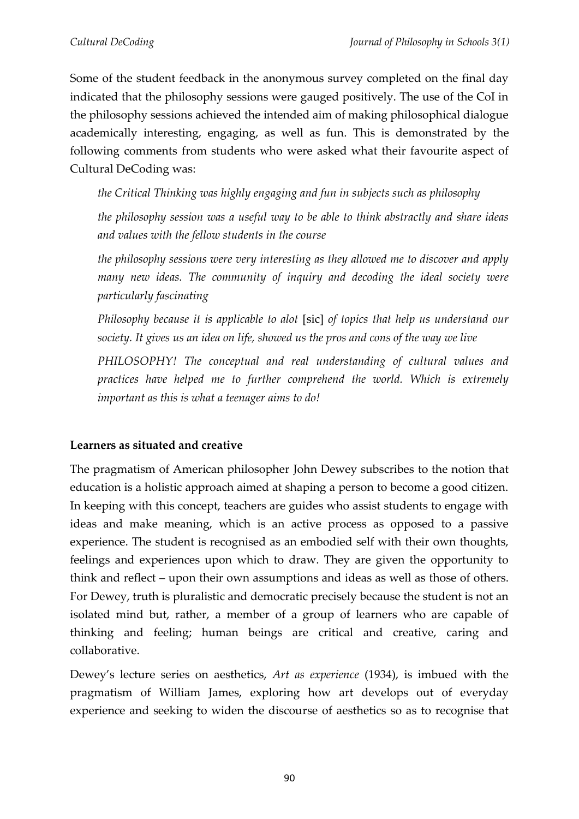Some of the student feedback in the anonymous survey completed on the final day indicated that the philosophy sessions were gauged positively. The use of the CoI in the philosophy sessions achieved the intended aim of making philosophical dialogue academically interesting, engaging, as well as fun. This is demonstrated by the following comments from students who were asked what their favourite aspect of Cultural DeCoding was:

*the Critical Thinking was highly engaging and fun in subjects such as philosophy*

*the philosophy session was a useful way to be able to think abstractly and share ideas and values with the fellow students in the course*

*the philosophy sessions were very interesting as they allowed me to discover and apply many new ideas. The community of inquiry and decoding the ideal society were particularly fascinating*

*Philosophy because it is applicable to alot* [sic] *of topics that help us understand our society. It gives us an idea on life, showed us the pros and cons of the way we live*

*PHILOSOPHY! The conceptual and real understanding of cultural values and practices have helped me to further comprehend the world. Which is extremely important as this is what a teenager aims to do!*

### **Learners as situated and creative**

The pragmatism of American philosopher John Dewey subscribes to the notion that education is a holistic approach aimed at shaping a person to become a good citizen. In keeping with this concept, teachers are guides who assist students to engage with ideas and make meaning, which is an active process as opposed to a passive experience. The student is recognised as an embodied self with their own thoughts, feelings and experiences upon which to draw. They are given the opportunity to think and reflect – upon their own assumptions and ideas as well as those of others. For Dewey, truth is pluralistic and democratic precisely because the student is not an isolated mind but, rather, a member of a group of learners who are capable of thinking and feeling; human beings are critical and creative, caring and collaborative.

Dewey's lecture series on aesthetics, *Art as experience* (1934), is imbued with the pragmatism of William James, exploring how art develops out of everyday experience and seeking to widen the discourse of aesthetics so as to recognise that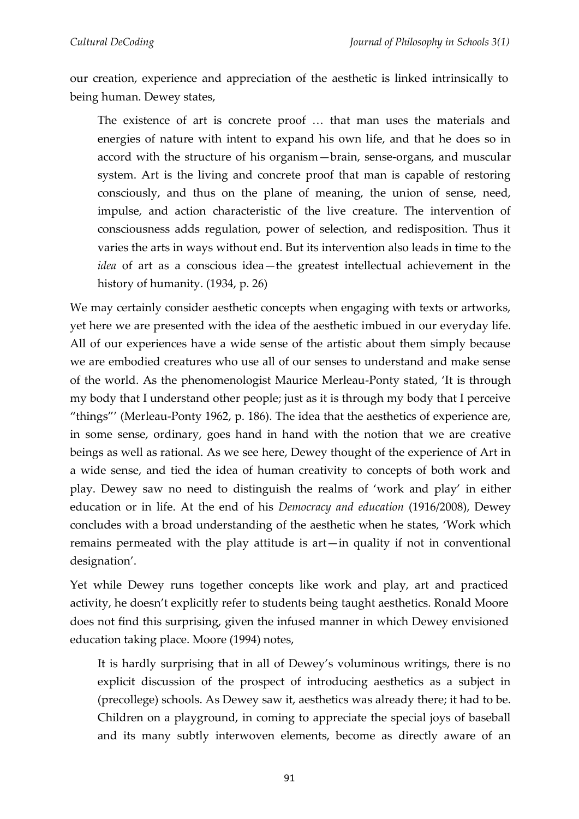our creation, experience and appreciation of the aesthetic is linked intrinsically to being human. Dewey states,

The existence of art is concrete proof … that man uses the materials and energies of nature with intent to expand his own life, and that he does so in accord with the structure of his organism—brain, sense-organs, and muscular system. Art is the living and concrete proof that man is capable of restoring consciously, and thus on the plane of meaning, the union of sense, need, impulse, and action characteristic of the live creature. The intervention of consciousness adds regulation, power of selection, and redisposition. Thus it varies the arts in ways without end. But its intervention also leads in time to the *idea* of art as a conscious idea—the greatest intellectual achievement in the history of humanity. (1934, p. 26)

We may certainly consider aesthetic concepts when engaging with texts or artworks, yet here we are presented with the idea of the aesthetic imbued in our everyday life. All of our experiences have a wide sense of the artistic about them simply because we are embodied creatures who use all of our senses to understand and make sense of the world. As the phenomenologist Maurice Merleau-Ponty stated, 'It is through my body that I understand other people; just as it is through my body that I perceive "things"' (Merleau-Ponty 1962, p. 186). The idea that the aesthetics of experience are, in some sense, ordinary, goes hand in hand with the notion that we are creative beings as well as rational. As we see here, Dewey thought of the experience of Art in a wide sense, and tied the idea of human creativity to concepts of both work and play. Dewey saw no need to distinguish the realms of 'work and play' in either education or in life. At the end of his *Democracy and education* (1916/2008), Dewey concludes with a broad understanding of the aesthetic when he states, 'Work which remains permeated with the play attitude is art—in quality if not in conventional designation'.

Yet while Dewey runs together concepts like work and play, art and practiced activity, he doesn't explicitly refer to students being taught aesthetics. Ronald Moore does not find this surprising, given the infused manner in which Dewey envisioned education taking place. Moore (1994) notes,

It is hardly surprising that in all of Dewey's voluminous writings, there is no explicit discussion of the prospect of introducing aesthetics as a subject in (precollege) schools. As Dewey saw it, aesthetics was already there; it had to be. Children on a playground, in coming to appreciate the special joys of baseball and its many subtly interwoven elements, become as directly aware of an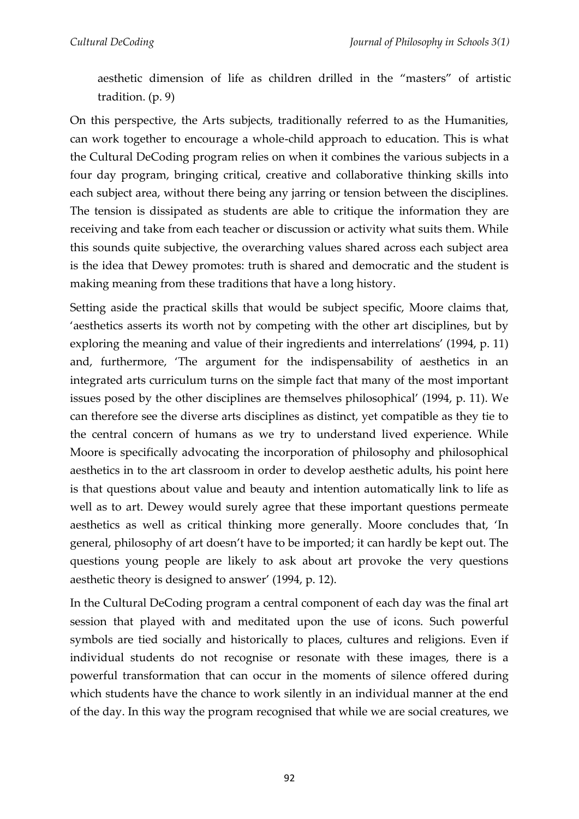aesthetic dimension of life as children drilled in the "masters" of artistic tradition. (p. 9)

On this perspective, the Arts subjects, traditionally referred to as the Humanities, can work together to encourage a whole-child approach to education. This is what the Cultural DeCoding program relies on when it combines the various subjects in a four day program, bringing critical, creative and collaborative thinking skills into each subject area, without there being any jarring or tension between the disciplines. The tension is dissipated as students are able to critique the information they are receiving and take from each teacher or discussion or activity what suits them. While this sounds quite subjective, the overarching values shared across each subject area is the idea that Dewey promotes: truth is shared and democratic and the student is making meaning from these traditions that have a long history.

Setting aside the practical skills that would be subject specific, Moore claims that, 'aesthetics asserts its worth not by competing with the other art disciplines, but by exploring the meaning and value of their ingredients and interrelations' (1994, p. 11) and, furthermore, 'The argument for the indispensability of aesthetics in an integrated arts curriculum turns on the simple fact that many of the most important issues posed by the other disciplines are themselves philosophical' (1994, p. 11). We can therefore see the diverse arts disciplines as distinct, yet compatible as they tie to the central concern of humans as we try to understand lived experience. While Moore is specifically advocating the incorporation of philosophy and philosophical aesthetics in to the art classroom in order to develop aesthetic adults, his point here is that questions about value and beauty and intention automatically link to life as well as to art. Dewey would surely agree that these important questions permeate aesthetics as well as critical thinking more generally. Moore concludes that, 'In general, philosophy of art doesn't have to be imported; it can hardly be kept out. The questions young people are likely to ask about art provoke the very questions aesthetic theory is designed to answer' (1994, p. 12).

In the Cultural DeCoding program a central component of each day was the final art session that played with and meditated upon the use of icons. Such powerful symbols are tied socially and historically to places, cultures and religions. Even if individual students do not recognise or resonate with these images, there is a powerful transformation that can occur in the moments of silence offered during which students have the chance to work silently in an individual manner at the end of the day. In this way the program recognised that while we are social creatures, we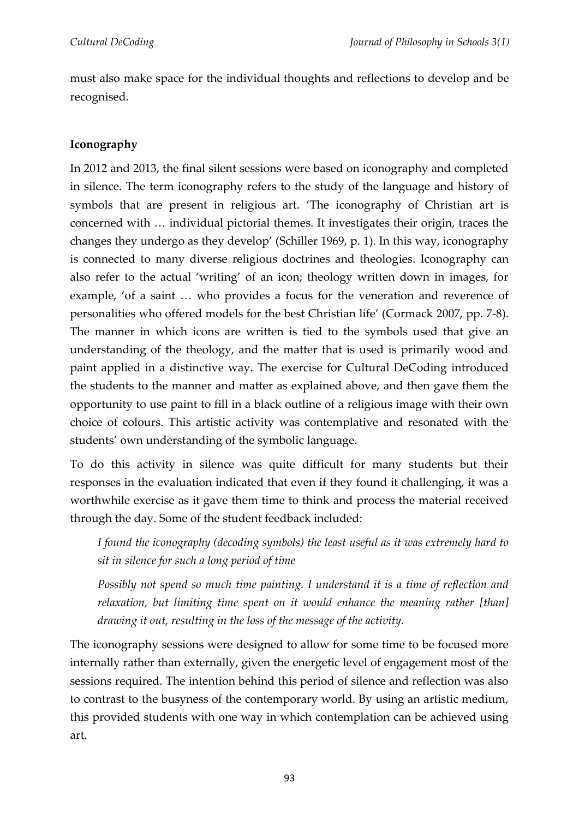must also make space for the individual thoughts and reflections to develop and be recognised.

# **Iconography**

In 2012 and 2013, the final silent sessions were based on iconography and completed in silence. The term iconography refers to the study of the language and history of symbols that are present in religious art. 'The iconography of Christian art is concerned with … individual pictorial themes. It investigates their origin, traces the changes they undergo as they develop' (Schiller 1969, p. 1). In this way, iconography is connected to many diverse religious doctrines and theologies. Iconography can also refer to the actual 'writing' of an icon; theology written down in images, for example, 'of a saint … who provides a focus for the veneration and reverence of personalities who offered models for the best Christian life' (Cormack 2007, pp. 7-8). The manner in which icons are written is tied to the symbols used that give an understanding of the theology, and the matter that is used is primarily wood and paint applied in a distinctive way. The exercise for Cultural DeCoding introduced the students to the manner and matter as explained above, and then gave them the opportunity to use paint to fill in a black outline of a religious image with their own choice of colours. This artistic activity was contemplative and resonated with the students' own understanding of the symbolic language.

To do this activity in silence was quite difficult for many students but their responses in the evaluation indicated that even if they found it challenging, it was a worthwhile exercise as it gave them time to think and process the material received through the day. Some of the student feedback included:

*I found the iconography (decoding symbols) the least useful as it was extremely hard to sit in silence for such a long period of time*

*Possibly not spend so much time painting. I understand it is a time of reflection and relaxation, but limiting time spent on it would enhance the meaning rather [than] drawing it out, resulting in the loss of the message of the activity.*

The iconography sessions were designed to allow for some time to be focused more internally rather than externally, given the energetic level of engagement most of the sessions required. The intention behind this period of silence and reflection was also to contrast to the busyness of the contemporary world. By using an artistic medium, this provided students with one way in which contemplation can be achieved using art.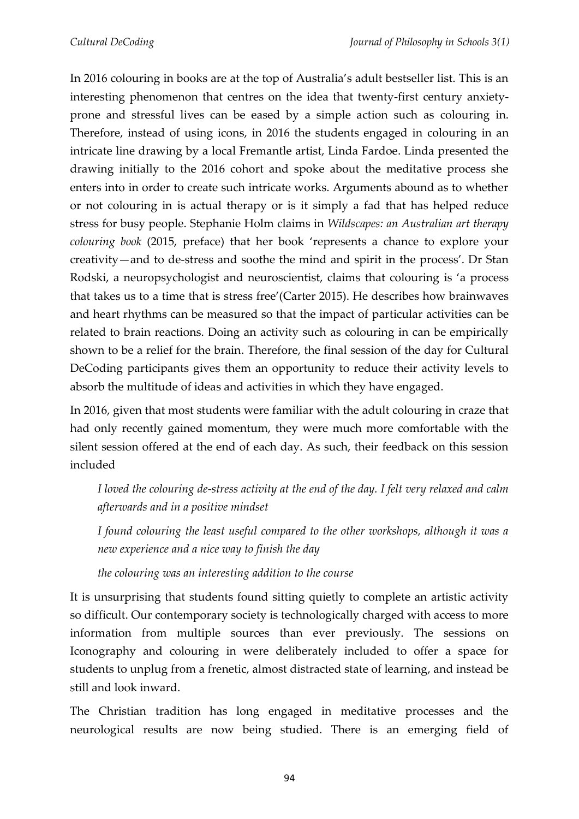In 2016 colouring in books are at the top of Australia's adult bestseller list. This is an interesting phenomenon that centres on the idea that twenty-first century anxietyprone and stressful lives can be eased by a simple action such as colouring in. Therefore, instead of using icons, in 2016 the students engaged in colouring in an intricate line drawing by a local Fremantle artist, Linda Fardoe. Linda presented the drawing initially to the 2016 cohort and spoke about the meditative process she enters into in order to create such intricate works. Arguments abound as to whether or not colouring in is actual therapy or is it simply a fad that has helped reduce stress for busy people. Stephanie Holm claims in *Wildscapes: an Australian art therapy colouring book* (2015, preface) that her book 'represents a chance to explore your creativity—and to de-stress and soothe the mind and spirit in the process'. Dr Stan Rodski, a neuropsychologist and neuroscientist, claims that colouring is 'a process that takes us to a time that is stress free'(Carter 2015). He describes how brainwaves and heart rhythms can be measured so that the impact of particular activities can be related to brain reactions. Doing an activity such as colouring in can be empirically shown to be a relief for the brain. Therefore, the final session of the day for Cultural DeCoding participants gives them an opportunity to reduce their activity levels to absorb the multitude of ideas and activities in which they have engaged.

In 2016, given that most students were familiar with the adult colouring in craze that had only recently gained momentum, they were much more comfortable with the silent session offered at the end of each day. As such, their feedback on this session included

*I loved the colouring de-stress activity at the end of the day. I felt very relaxed and calm afterwards and in a positive mindset*

*I found colouring the least useful compared to the other workshops, although it was a new experience and a nice way to finish the day*

*the colouring was an interesting addition to the course*

It is unsurprising that students found sitting quietly to complete an artistic activity so difficult. Our contemporary society is technologically charged with access to more information from multiple sources than ever previously. The sessions on Iconography and colouring in were deliberately included to offer a space for students to unplug from a frenetic, almost distracted state of learning, and instead be still and look inward.

The Christian tradition has long engaged in meditative processes and the neurological results are now being studied. There is an emerging field of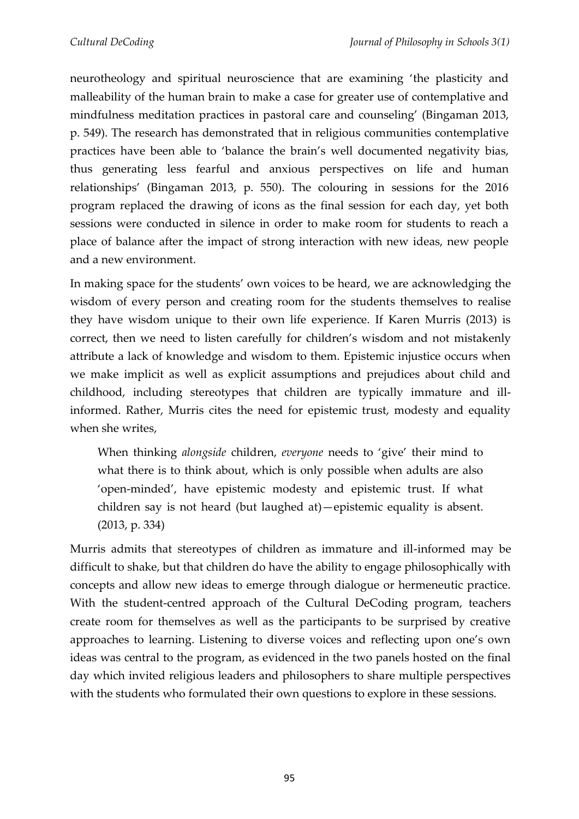neurotheology and spiritual neuroscience that are examining 'the plasticity and malleability of the human brain to make a case for greater use of contemplative and mindfulness meditation practices in pastoral care and counseling' (Bingaman 2013, p. 549). The research has demonstrated that in religious communities contemplative practices have been able to 'balance the brain's well documented negativity bias, thus generating less fearful and anxious perspectives on life and human relationships' (Bingaman 2013, p. 550). The colouring in sessions for the 2016 program replaced the drawing of icons as the final session for each day, yet both sessions were conducted in silence in order to make room for students to reach a place of balance after the impact of strong interaction with new ideas, new people and a new environment.

In making space for the students' own voices to be heard, we are acknowledging the wisdom of every person and creating room for the students themselves to realise they have wisdom unique to their own life experience. If Karen Murris (2013) is correct, then we need to listen carefully for children's wisdom and not mistakenly attribute a lack of knowledge and wisdom to them. Epistemic injustice occurs when we make implicit as well as explicit assumptions and prejudices about child and childhood, including stereotypes that children are typically immature and illinformed. Rather, Murris cites the need for epistemic trust, modesty and equality when she writes,

When thinking *alongside* children, *everyone* needs to 'give' their mind to what there is to think about, which is only possible when adults are also 'open-minded', have epistemic modesty and epistemic trust. If what children say is not heard (but laughed at)—epistemic equality is absent. (2013, p. 334)

Murris admits that stereotypes of children as immature and ill-informed may be difficult to shake, but that children do have the ability to engage philosophically with concepts and allow new ideas to emerge through dialogue or hermeneutic practice. With the student-centred approach of the Cultural DeCoding program, teachers create room for themselves as well as the participants to be surprised by creative approaches to learning. Listening to diverse voices and reflecting upon one's own ideas was central to the program, as evidenced in the two panels hosted on the final day which invited religious leaders and philosophers to share multiple perspectives with the students who formulated their own questions to explore in these sessions.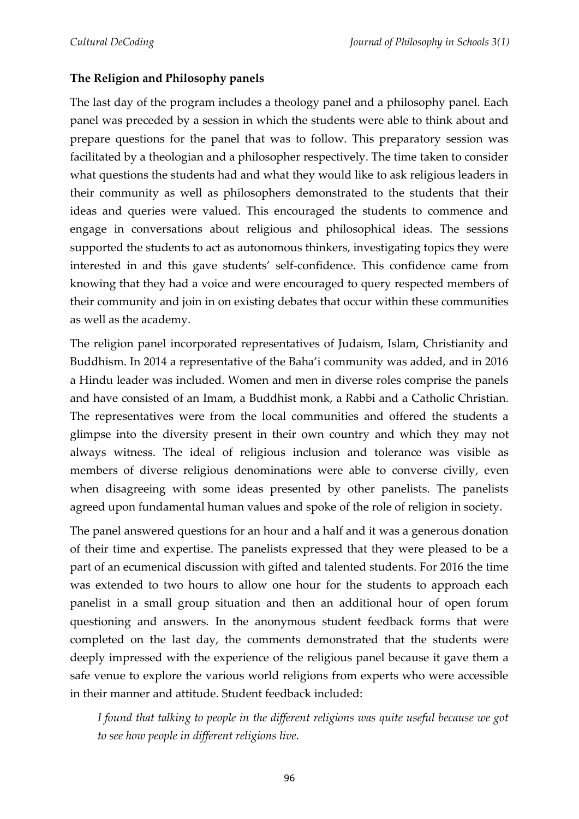## **The Religion and Philosophy panels**

The last day of the program includes a theology panel and a philosophy panel. Each panel was preceded by a session in which the students were able to think about and prepare questions for the panel that was to follow. This preparatory session was facilitated by a theologian and a philosopher respectively. The time taken to consider what questions the students had and what they would like to ask religious leaders in their community as well as philosophers demonstrated to the students that their ideas and queries were valued. This encouraged the students to commence and engage in conversations about religious and philosophical ideas. The sessions supported the students to act as autonomous thinkers, investigating topics they were interested in and this gave students' self-confidence. This confidence came from knowing that they had a voice and were encouraged to query respected members of their community and join in on existing debates that occur within these communities as well as the academy.

The religion panel incorporated representatives of Judaism, Islam, Christianity and Buddhism. In 2014 a representative of the Baha'i community was added, and in 2016 a Hindu leader was included. Women and men in diverse roles comprise the panels and have consisted of an Imam, a Buddhist monk, a Rabbi and a Catholic Christian. The representatives were from the local communities and offered the students a glimpse into the diversity present in their own country and which they may not always witness. The ideal of religious inclusion and tolerance was visible as members of diverse religious denominations were able to converse civilly, even when disagreeing with some ideas presented by other panelists. The panelists agreed upon fundamental human values and spoke of the role of religion in society.

The panel answered questions for an hour and a half and it was a generous donation of their time and expertise. The panelists expressed that they were pleased to be a part of an ecumenical discussion with gifted and talented students. For 2016 the time was extended to two hours to allow one hour for the students to approach each panelist in a small group situation and then an additional hour of open forum questioning and answers. In the anonymous student feedback forms that were completed on the last day, the comments demonstrated that the students were deeply impressed with the experience of the religious panel because it gave them a safe venue to explore the various world religions from experts who were accessible in their manner and attitude. Student feedback included:

*I found that talking to people in the different religions was quite useful because we got to see how people in different religions live.*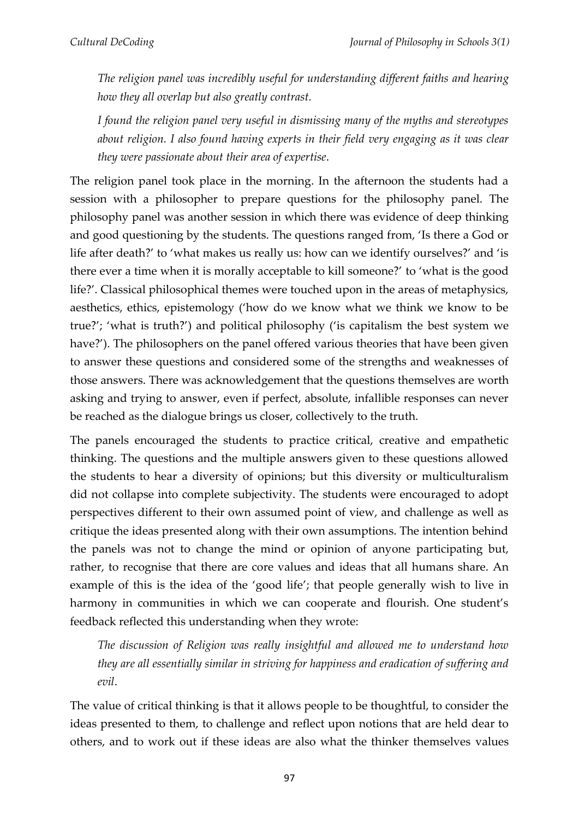*The religion panel was incredibly useful for understanding different faiths and hearing how they all overlap but also greatly contrast.*

*I found the religion panel very useful in dismissing many of the myths and stereotypes about religion. I also found having experts in their field very engaging as it was clear they were passionate about their area of expertise*.

The religion panel took place in the morning. In the afternoon the students had a session with a philosopher to prepare questions for the philosophy panel. The philosophy panel was another session in which there was evidence of deep thinking and good questioning by the students. The questions ranged from, 'Is there a God or life after death?' to 'what makes us really us: how can we identify ourselves?' and 'is there ever a time when it is morally acceptable to kill someone?' to 'what is the good life?'. Classical philosophical themes were touched upon in the areas of metaphysics, aesthetics, ethics, epistemology ('how do we know what we think we know to be true?'; 'what is truth?') and political philosophy ('is capitalism the best system we have?'). The philosophers on the panel offered various theories that have been given to answer these questions and considered some of the strengths and weaknesses of those answers. There was acknowledgement that the questions themselves are worth asking and trying to answer, even if perfect, absolute, infallible responses can never be reached as the dialogue brings us closer, collectively to the truth.

The panels encouraged the students to practice critical, creative and empathetic thinking. The questions and the multiple answers given to these questions allowed the students to hear a diversity of opinions; but this diversity or multiculturalism did not collapse into complete subjectivity. The students were encouraged to adopt perspectives different to their own assumed point of view, and challenge as well as critique the ideas presented along with their own assumptions. The intention behind the panels was not to change the mind or opinion of anyone participating but, rather, to recognise that there are core values and ideas that all humans share. An example of this is the idea of the 'good life'; that people generally wish to live in harmony in communities in which we can cooperate and flourish. One student's feedback reflected this understanding when they wrote:

*The discussion of Religion was really insightful and allowed me to understand how they are all essentially similar in striving for happiness and eradication of suffering and evil*.

The value of critical thinking is that it allows people to be thoughtful, to consider the ideas presented to them, to challenge and reflect upon notions that are held dear to others, and to work out if these ideas are also what the thinker themselves values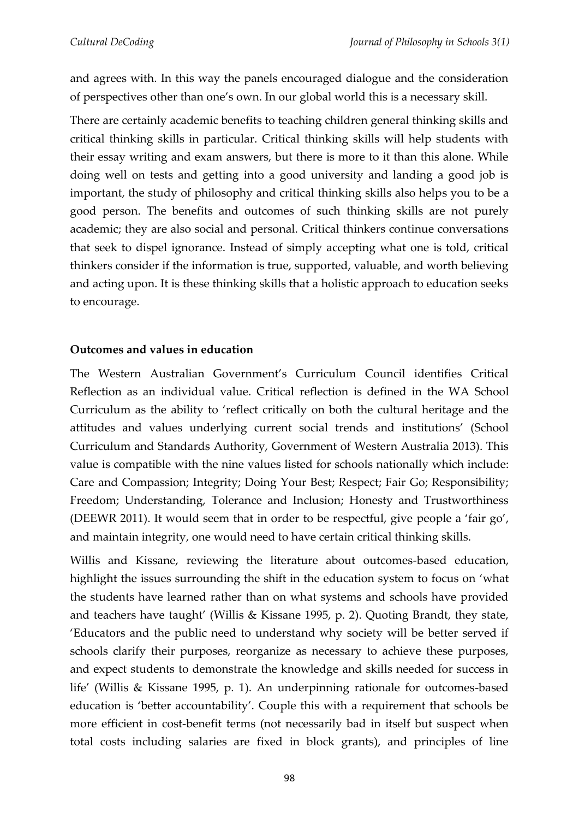and agrees with. In this way the panels encouraged dialogue and the consideration of perspectives other than one's own. In our global world this is a necessary skill.

There are certainly academic benefits to teaching children general thinking skills and critical thinking skills in particular. Critical thinking skills will help students with their essay writing and exam answers, but there is more to it than this alone. While doing well on tests and getting into a good university and landing a good job is important, the study of philosophy and critical thinking skills also helps you to be a good person. The benefits and outcomes of such thinking skills are not purely academic; they are also social and personal. Critical thinkers continue conversations that seek to dispel ignorance. Instead of simply accepting what one is told, critical thinkers consider if the information is true, supported, valuable, and worth believing and acting upon. It is these thinking skills that a holistic approach to education seeks to encourage.

## **Outcomes and values in education**

The Western Australian Government's Curriculum Council identifies Critical Reflection as an individual value. Critical reflection is defined in the WA School Curriculum as the ability to 'reflect critically on both the cultural heritage and the attitudes and values underlying current social trends and institutions' (School Curriculum and Standards Authority, Government of Western Australia 2013). This value is compatible with the nine values listed for schools nationally which include: Care and Compassion; Integrity; Doing Your Best; Respect; Fair Go; Responsibility; Freedom; Understanding, Tolerance and Inclusion; Honesty and Trustworthiness (DEEWR 2011). It would seem that in order to be respectful, give people a 'fair go', and maintain integrity, one would need to have certain critical thinking skills.

Willis and Kissane, reviewing the literature about outcomes-based education, highlight the issues surrounding the shift in the education system to focus on 'what the students have learned rather than on what systems and schools have provided and teachers have taught' (Willis & Kissane 1995, p. 2). Quoting Brandt, they state, 'Educators and the public need to understand why society will be better served if schools clarify their purposes, reorganize as necessary to achieve these purposes, and expect students to demonstrate the knowledge and skills needed for success in life' (Willis & Kissane 1995, p. 1). An underpinning rationale for outcomes-based education is 'better accountability'. Couple this with a requirement that schools be more efficient in cost-benefit terms (not necessarily bad in itself but suspect when total costs including salaries are fixed in block grants), and principles of line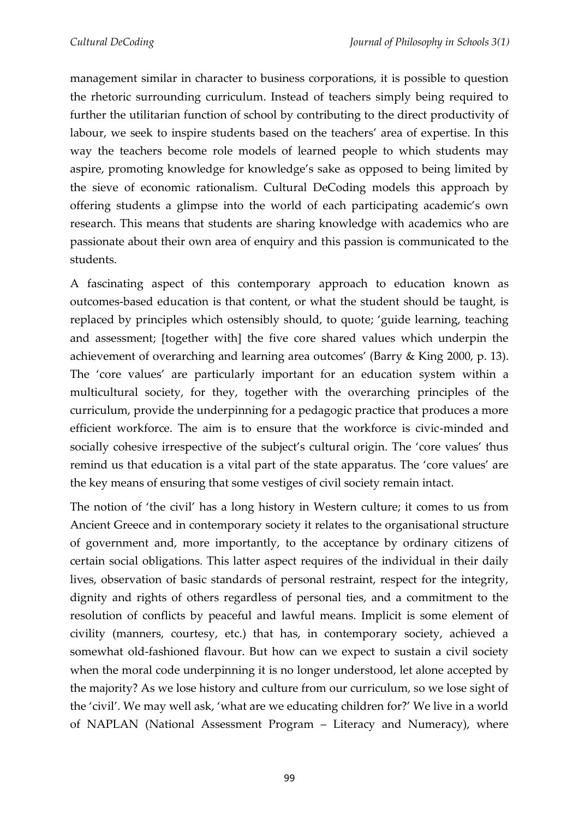management similar in character to business corporations, it is possible to question the rhetoric surrounding curriculum. Instead of teachers simply being required to further the utilitarian function of school by contributing to the direct productivity of labour, we seek to inspire students based on the teachers' area of expertise. In this way the teachers become role models of learned people to which students may aspire, promoting knowledge for knowledge's sake as opposed to being limited by the sieve of economic rationalism. Cultural DeCoding models this approach by offering students a glimpse into the world of each participating academic's own research. This means that students are sharing knowledge with academics who are passionate about their own area of enquiry and this passion is communicated to the students.

A fascinating aspect of this contemporary approach to education known as outcomes-based education is that content, or what the student should be taught, is replaced by principles which ostensibly should, to quote; 'guide learning, teaching and assessment; [together with] the five core shared values which underpin the achievement of overarching and learning area outcomes' (Barry & King 2000, p. 13). The 'core values' are particularly important for an education system within a multicultural society, for they, together with the overarching principles of the curriculum, provide the underpinning for a pedagogic practice that produces a more efficient workforce. The aim is to ensure that the workforce is civic-minded and socially cohesive irrespective of the subject's cultural origin. The 'core values' thus remind us that education is a vital part of the state apparatus. The 'core values' are the key means of ensuring that some vestiges of civil society remain intact.

The notion of 'the civil' has a long history in Western culture; it comes to us from Ancient Greece and in contemporary society it relates to the organisational structure of government and, more importantly, to the acceptance by ordinary citizens of certain social obligations. This latter aspect requires of the individual in their daily lives, observation of basic standards of personal restraint, respect for the integrity, dignity and rights of others regardless of personal ties, and a commitment to the resolution of conflicts by peaceful and lawful means. Implicit is some element of civility (manners, courtesy, etc.) that has, in contemporary society, achieved a somewhat old-fashioned flavour. But how can we expect to sustain a civil society when the moral code underpinning it is no longer understood, let alone accepted by the majority? As we lose history and culture from our curriculum, so we lose sight of the 'civil'. We may well ask, 'what are we educating children for?' We live in a world of NAPLAN (National Assessment Program – Literacy and Numeracy), where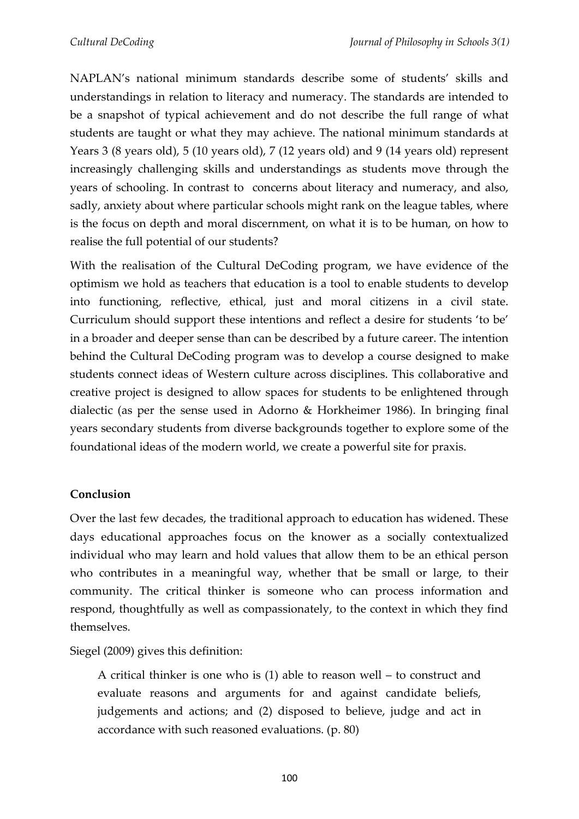NAPLAN's national minimum standards describe some of students' skills and understandings in relation to literacy and numeracy. The standards are intended to be a snapshot of typical achievement and do not describe the full range of what students are taught or what they may achieve. The national minimum standards at Years 3 (8 years old), 5 (10 years old), 7 (12 years old) and 9 (14 years old) represent increasingly challenging skills and understandings as students move through the years of schooling. In contrast to concerns about literacy and numeracy, and also, sadly, anxiety about where particular schools might rank on the league tables, where is the focus on depth and moral discernment, on what it is to be human, on how to realise the full potential of our students?

With the realisation of the Cultural DeCoding program, we have evidence of the optimism we hold as teachers that education is a tool to enable students to develop into functioning, reflective, ethical, just and moral citizens in a civil state. Curriculum should support these intentions and reflect a desire for students 'to be' in a broader and deeper sense than can be described by a future career. The intention behind the Cultural DeCoding program was to develop a course designed to make students connect ideas of Western culture across disciplines. This collaborative and creative project is designed to allow spaces for students to be enlightened through dialectic (as per the sense used in Adorno & Horkheimer 1986). In bringing final years secondary students from diverse backgrounds together to explore some of the foundational ideas of the modern world, we create a powerful site for praxis.

### **Conclusion**

Over the last few decades, the traditional approach to education has widened. These days educational approaches focus on the knower as a socially contextualized individual who may learn and hold values that allow them to be an ethical person who contributes in a meaningful way, whether that be small or large, to their community. The critical thinker is someone who can process information and respond, thoughtfully as well as compassionately, to the context in which they find themselves.

Siegel (2009) gives this definition:

A critical thinker is one who is (1) able to reason well – to construct and evaluate reasons and arguments for and against candidate beliefs, judgements and actions; and (2) disposed to believe, judge and act in accordance with such reasoned evaluations. (p. 80)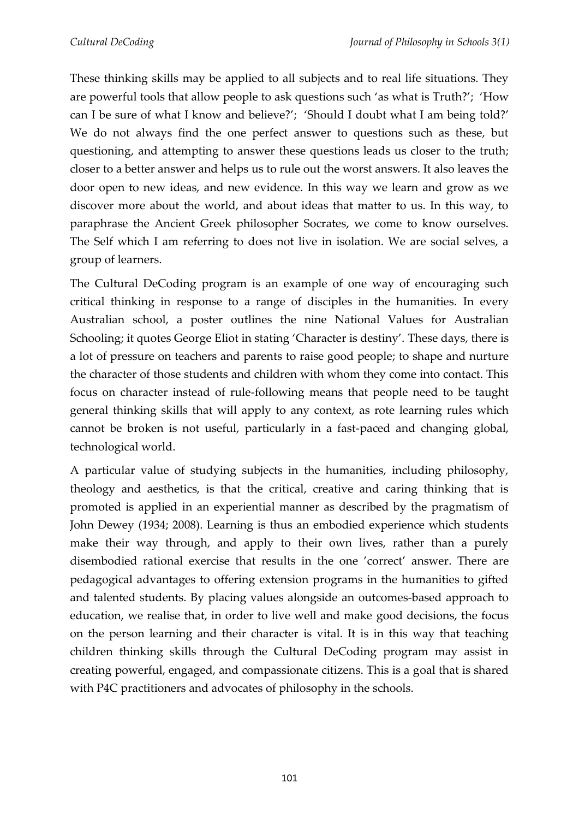These thinking skills may be applied to all subjects and to real life situations. They are powerful tools that allow people to ask questions such 'as what is Truth?'; 'How can I be sure of what I know and believe?'; 'Should I doubt what I am being told?' We do not always find the one perfect answer to questions such as these, but questioning, and attempting to answer these questions leads us closer to the truth; closer to a better answer and helps us to rule out the worst answers. It also leaves the door open to new ideas, and new evidence. In this way we learn and grow as we discover more about the world, and about ideas that matter to us. In this way, to paraphrase the Ancient Greek philosopher Socrates, we come to know ourselves. The Self which I am referring to does not live in isolation. We are social selves, a group of learners.

The Cultural DeCoding program is an example of one way of encouraging such critical thinking in response to a range of disciples in the humanities. In every Australian school, a poster outlines the nine National Values for Australian Schooling; it quotes George Eliot in stating 'Character is destiny'. These days, there is a lot of pressure on teachers and parents to raise good people; to shape and nurture the character of those students and children with whom they come into contact. This focus on character instead of rule-following means that people need to be taught general thinking skills that will apply to any context, as rote learning rules which cannot be broken is not useful, particularly in a fast-paced and changing global, technological world.

A particular value of studying subjects in the humanities, including philosophy, theology and aesthetics, is that the critical, creative and caring thinking that is promoted is applied in an experiential manner as described by the pragmatism of John Dewey (1934; 2008). Learning is thus an embodied experience which students make their way through, and apply to their own lives, rather than a purely disembodied rational exercise that results in the one 'correct' answer. There are pedagogical advantages to offering extension programs in the humanities to gifted and talented students. By placing values alongside an outcomes-based approach to education, we realise that, in order to live well and make good decisions, the focus on the person learning and their character is vital. It is in this way that teaching children thinking skills through the Cultural DeCoding program may assist in creating powerful, engaged, and compassionate citizens. This is a goal that is shared with P4C practitioners and advocates of philosophy in the schools.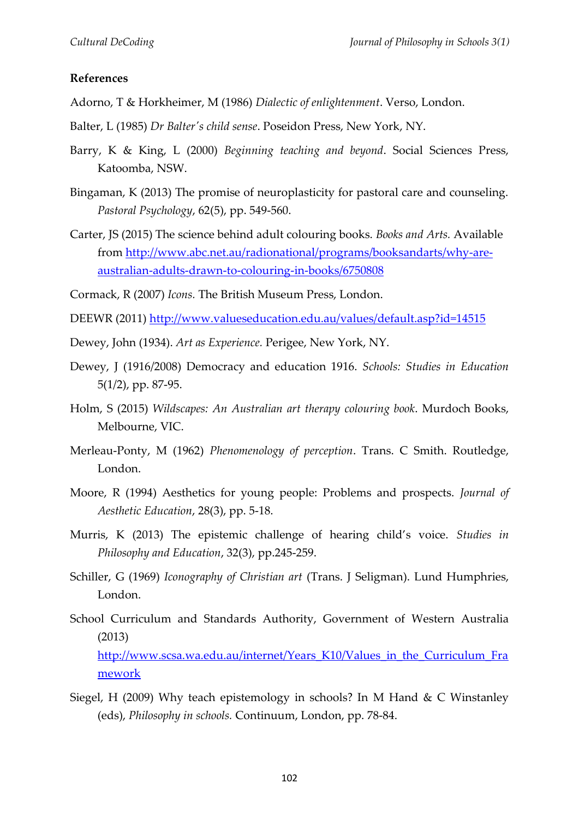#### **References**

- Adorno, T & Horkheimer, M (1986) *Dialectic of enlightenment*. Verso, London.
- Balter, L (1985) *Dr Balter's child sense*. Poseidon Press, New York, NY.
- Barry, K & King, L (2000) *Beginning teaching and beyond*. Social Sciences Press, Katoomba, NSW.
- Bingaman, K (2013) The promise of neuroplasticity for pastoral care and counseling. *Pastoral Psychology*, 62(5), pp. 549-560.
- Carter, JS (2015) The science behind adult colouring books. *Books and Arts.* Available from [http://www.abc.net.au/radionational/programs/booksandarts/why-are](http://www.abc.net.au/radionational/programs/booksandarts/why-are-australian-adults-drawn-to-colouring-in-books/6750808)[australian-adults-drawn-to-colouring-in-books/6750808](http://www.abc.net.au/radionational/programs/booksandarts/why-are-australian-adults-drawn-to-colouring-in-books/6750808)
- Cormack, R (2007) *Icons.* The British Museum Press, London.
- DEEWR (2011)<http://www.valueseducation.edu.au/values/default.asp?id=14515>
- Dewey, John (1934). *Art as Experience.* Perigee, New York, NY.
- Dewey, J (1916/2008) Democracy and education 1916. *Schools: Studies in Education*  5(1/2), pp. 87-95.
- Holm, S (2015) *Wildscapes: An Australian art therapy colouring book*. Murdoch Books, Melbourne, VIC.
- Merleau-Ponty, M (1962) *Phenomenology of perception*. Trans. C Smith. Routledge, London.
- Moore, R (1994) Aesthetics for young people: Problems and prospects. *Journal of Aesthetic Education*, 28(3), pp. 5-18.
- Murris, K (2013) The epistemic challenge of hearing child's voice. *Studies in Philosophy and Education*, 32(3), pp.245-259.
- Schiller, G (1969) *Iconography of Christian art* (Trans. J Seligman). Lund Humphries, London.
- School Curriculum and Standards Authority, Government of Western Australia (2013) [http://www.scsa.wa.edu.au/internet/Years\\_K10/Values\\_in\\_the\\_Curriculum\\_Fra](http://www.scsa.wa.edu.au/internet/Years_K10/Values_in_the_Curriculum_Framework) [mework](http://www.scsa.wa.edu.au/internet/Years_K10/Values_in_the_Curriculum_Framework)
- Siegel, H (2009) Why teach epistemology in schools? In M Hand & C Winstanley (eds), *Philosophy in schools.* Continuum, London, pp. 78-84.